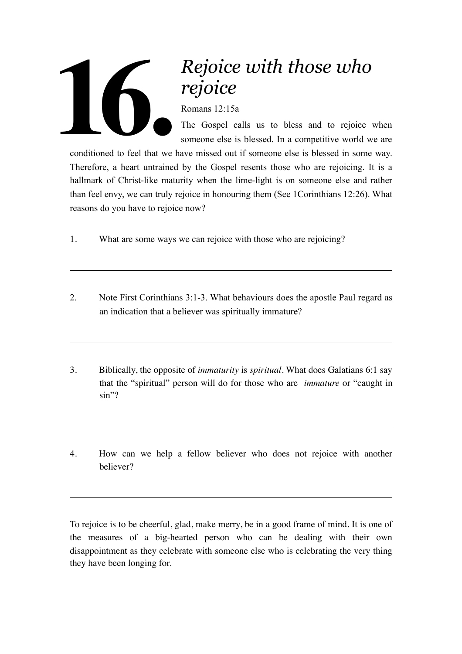## **16.**

## *Rejoice with those who rejoice*

Romans 12:15a

The Gospel calls us to bless and to rejoice when someone else is blessed. In a competitive world we are

conditioned to feel that we have missed out if someone else is blessed in some way. Therefore, a heart untrained by the Gospel resents those who are rejoicing. It is a hallmark of Christ-like maturity when the lime-light is on someone else and rather than feel envy, we can truly rejoice in honouring them (See 1Corinthians 12:26). What reasons do you have to rejoice now?

- 1. What are some ways we can rejoice with those who are rejoicing?
- 2. Note First Corinthians 3:1-3. What behaviours does the apostle Paul regard as an indication that a believer was spiritually immature?
- 3. Biblically, the opposite of *immaturity* is *spiritual.* What does Galatians 6:1 say that the "spiritual" person will do for those who are *immature* or "caught in sin"?
- 4. How can we help a fellow believer who does not rejoice with another believer?

To rejoice is to be cheerful, glad, make merry, be in a good frame of mind. It is one of the measures of a big-hearted person who can be dealing with their own disappointment as they celebrate with someone else who is celebrating the very thing they have been longing for.